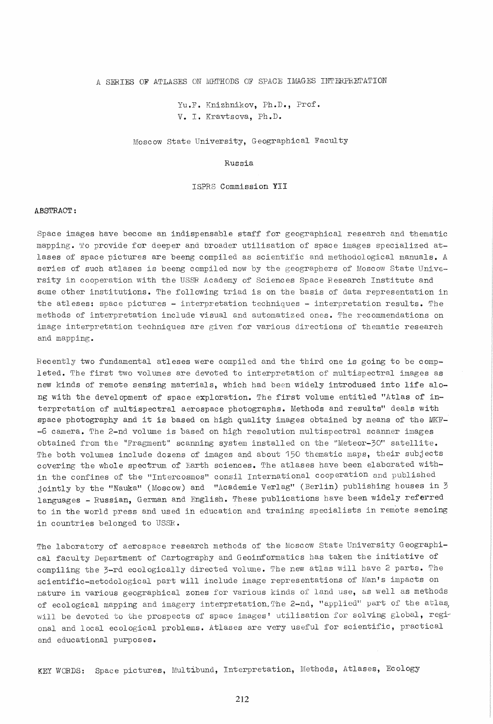A SERIES OF ATLASES ON METHODS OF SPACE IMAGES INTERPRETATION

Yu.F. Knizhnikov, Ph.D., Prof. v. I. Kravtsova, Ph.D.

Moscow State University, Geographical Faculty

## Russia

ISPRS Commission YII

## A.8STRACT:

Space images have become an indispensable staff for geographical research and thematic mapping. To provide for deeper and broader utilisation of space images specialized atlases of space pictures are beeng compiled as scientific and methodological manuals. A series of such atlases is beeng compiled now by the geographers of Moscow State University in cooperation with the USSR Academy of Sciences Space Research Institute and some other institutions. The following triad is on the basis of data representation in the atleses: space pictures - interpretation techniques - interpretation results. The methods of interpretation include visual and automatized ones. The recommendations on image interpretation techniques are given for various directions of thematic research and mapping.

Recently two fundamental atleses were compiled and the third one is going to be completed. The first two volumes are devoted to interpretation of multispectral images as new kinds of remote sensing materials, which had been widely introdused into life along with the development of space exploration. The first volume entitled "Atlas of interpretation of multispectral aerospace photographs. Methods and results" deals with space photography and it is based on high quality images obtained by means of the MKF- -6 camera. The 2-nd volume is based on high resolution multispectral scanner images obtained from the "Fragment" scanning system installed on the "Meteor-30" satellite. The both volumes include dozens of images and about 150 thematic maps, their subjects covering the whole spectrum of Earth sciences. The atlases have been elaborated within the confines of the "Intercosmos" consil International cooperation and published jointly by the "Nauka" (Moscow) and "Academie Verlag" (Berlin) publishing houses in 3 languages - Russian, German and English. These publications have been widely referred to in the world press and used in education and training specialists in remote sencing in countries belonged to USSR.

The laboratory of aerospace research methods of the Moscow State University Geographical faculty Department of Cartography and Geoinformatics has taken the initiative of compiling the 3-rd ecologically directed volume. The new atlas will have 2 parts. The scientific-metodological part will include image representations of Man's impacts on nature in various geographical zones for various kinds of land use, as well as methods of ecological mapping and imagery interpretation. The 2-nd, "applied" part of the atlas, will be devoted to the prospects of space images' utilisation for solving global, regional and local ecological problems. Atlases are very useful for scientific, practical and educational purposes.

KEY WORDS: Space pictures, Multibund, Interpretation, Methods, Atlases, Ecology

212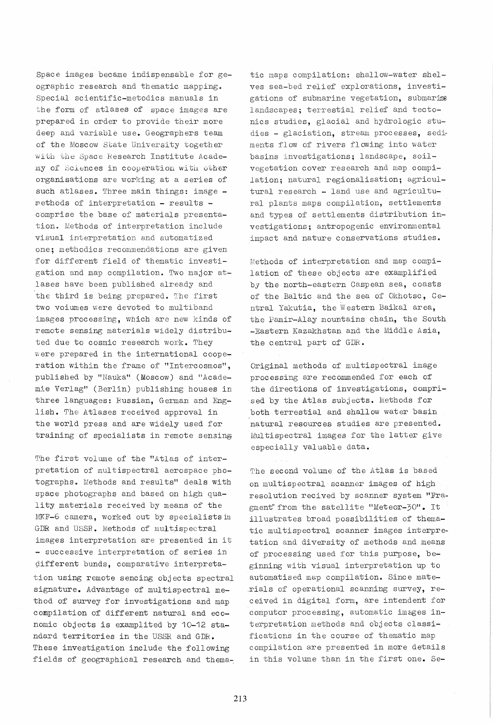Space images became indispensable for geographic research and thematic mapping. Special scientific-metodics manuals in the form of atlases of space images are prepared in order to provide their more deep and variable use. Geographers team of the Moscow state University together with the Space Research Institute Academy of Sciences in cooperation with other organisations are working at a series of such atlases. Three main things: image - $I$  methods of interpretation - results comprise the base of materials presentation. Methods of interpretation include visual interpretation and automatized one; methodics recommendations are given for different field of thematic investigation and map compilation. Two major atlases have been published already and the third is being prepared. The first two voiumes were devoted to multiband images processing, which are new kinds of remote sensing materials widely distributed due to cosmic research work. They Vi ere prepared in the international cooperation within the frame of "Intercosmos", published by "Nauka" (Moscow) and "Academie Verlag" (Berlin) publishing houses in three languages: Russian, German and English. *The* Atlases received approval in the world press and are widely used for training of specialists in remote sensin§

The first volume of the "Atlas of interpretation of multispectral aerospace photographs. Methods and results" deals with space photographs and based on high quality materials received by means of the MKF-6 camera, worked out by specialists in GDR and USSR. Methods of multispectral images interpretation are presented in it - successive interpretation of series in different bunds, comparative interpretation using remote sencing objects spectral signature. Advantage of multispectral method of survey for investigations and map compilation of different natural and economic objects is examplited by 10-12 standard territories in the USSR and GDB.. These investigation include the following fields of geographical research and thema-. tic maps compilation: shallow-water shelves sea-bed relief explorations, investigations of submarine vegetation, submarine landscapes; terrestial relief and tectonics studies, glacial and hydrologic studies - glaciation, stream processes, sediments flow of rivers flowing into water basins investigations; landscape, soilvegetation cover research and map compilation; natural regionalisation; agricultural research - land use and agricultural plants maps compilation, settlements and types of settlements distribution investigations; antropogenic environmental impact and nature conservations studies.

Methods of interpretation and map compilation of these objects are examplified by the north-eastern Caspean sea, coasts of the Baltic and the sea of Okhotsc, Central Yakutia, the Western Baikal area, the Pamir-Alay mountains chain, the South -Eastern Kazakhstan and the Middle Asia. the central part of GDR.

Original methods of multispectral image processing are recommended for each of the directions of investigations, comprised by the Atlas subjects. Methods for both terrestial and shallow water basin natural resources studies are presented. Multispectral images for the latter give especially valuable data.

The second volume of the Atlas is based on multispectral scanner images of high resol ution reci ved by scanner system "Fragment" from the satellite "Meteor-30". It illustrates broad possibilities of thematic multispectral scanner images interpretation and diversity of methods and means of processing used for this purpose, beginning with visual interpretation up to automatised map compilation. Since mate-.rials of operational scanning survey, received in digital form, are intendent for computor processing, automatic images interpretation methods and objects classifications in the course of thematic map compilation are presented in more details in this volume than in the first one. Se-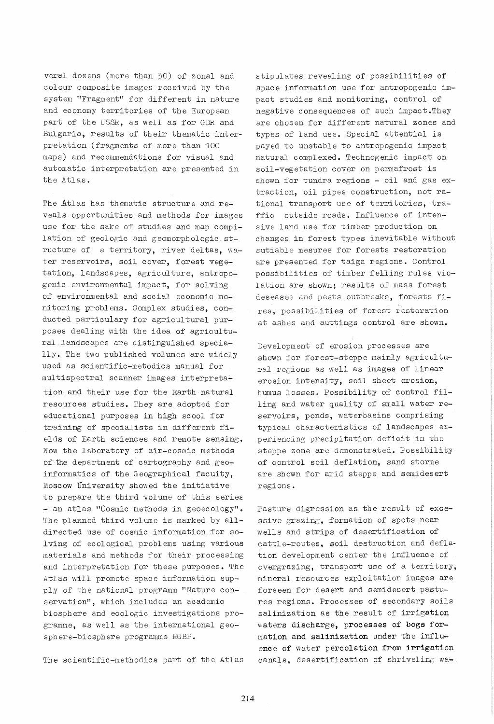veral dozens (more than 30) of zonal and colour composite images received by the system "Fragment" for different in nature and economy territories of the European part of the USSR, as well as for GDR and Bulgaria, results of their thematic interpretation (fragments of more than 100 maps) and recommendations for visual and automatic interpretation are presented in the Atlas.

The Atlas has thematic structure and reveals opportunities and methods for images use for the sake of studies and map compilation of geologic and geomorphologic structure of a territory, river deltas, water reservoirs, soil cover, forest vegetation, landscapes, agriculture, antropogenic environmental impact, for solving of environmental and social economic monitoring problems. Complex studies, conducted particulary for agricultural purposes dealing with the idea of agricultural landscapes are distinguished specially. The two published volumes are widely used as scientific-metodics manual for multispectral scanner images interpretation and their use for the Earth natural resources studies. They are adopted for educational purposes in high scool for training of specialists in different fields of Earth sciences and remote sensing. Now the 1 aboratory of air-cosmic methods of the department of cartography and geoinformatics of the Geographical facuity, Moscow University showed the initiative to prepare the third volume of this seriec - an atlas "Cosmic methods in geoecology". The planned third volume is marked by alldirected use of cosmic information for solving of ecological problems using various materials and methods for their processing and interpretation for these purposes. The Atlas will promote space information supply of the national programm "Nature conservation", which includes an academic biosphere and ecologic investigations programme, as well as the international geosphere-biosphere programme MGBP.

The scientific-methodics part of the Atlas

stipulates revealing of possibilities of space information use for antropogenic impact studies and monitoring, control of negative consequences of such impact.They are chosen for different natural zones and types of land use. Special attential is payed to unstable to antropogenic impact natural complexed. Technogenic impact on soil-vegetation cover on pennafrost is shown for tundra regions - oil and gas extraction, oil pipes construction, not rational transport use of territories, traffic outside roads. Influence of intensive land use for timber production on changes in forest types inevitable without sutiable mesures for forests restoration are presented for taiga regions. Control possibilities of timber felling rules violation are shown; results of mass forest deseases and pests outbreaks, forests fires~ possibilities of forest restoration at ashes and auttings control are shown.

Development of erosion processes are shown for forest-steppe mainly agricultural regions as well as images of linear erosion intensity, soil sheet erosion, humus losses. Possibility of control filling and water quality of small water reservoirs, ponds, waterbasins comprising typical characteristics of landscapes experiencing precipitation deficit in the steppe zone are demonstrated. Fossibility of control soil deflation, sand storme are shown for arid steppe and semidesert regions.

Pasture digression as the result of excessive grazing, formation of spots near wells and strips of desertification of cattle-routes, soil destruction and deflation development center the influence of overgrazing, transport use of a territory, mineral resources exploitation images are forseen for desert and semidesert pastures regions. Processes of secondary soils salinization as the result of irrigation waters discharge, processes of bogs fornation and salinization under the influence of water percolation from irrigation canals, desertification of shriveling wa